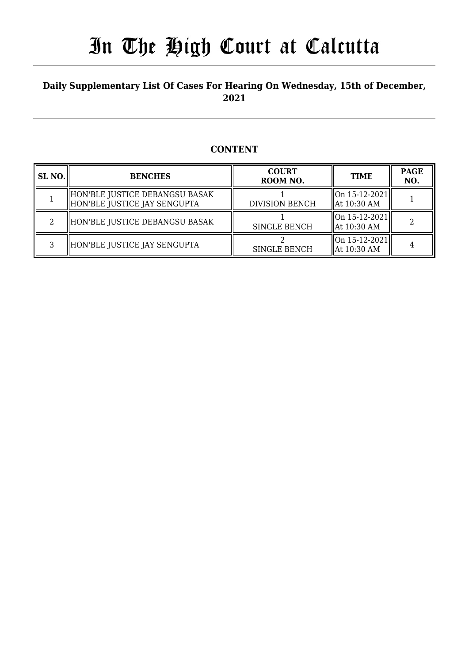#### **Daily Supplementary List Of Cases For Hearing On Wednesday, 15th of December, 2021**

#### **CONTENT**

| SL NO. | <b>BENCHES</b>                                                  | <b>COURT</b><br>ROOM NO. | <b>TIME</b>                                                                                | <b>PAGE</b><br>NO. |
|--------|-----------------------------------------------------------------|--------------------------|--------------------------------------------------------------------------------------------|--------------------|
|        | HON'BLE JUSTICE DEBANGSU BASAK <br>HON'BLE JUSTICE JAY SENGUPTA | <b>DIVISION BENCH</b>    | $\left\  \text{On } 15 - 12 - 2021 \right\ $<br>$\parallel$ At 10:30 AM                    |                    |
|        | HON'BLE JUSTICE DEBANGSU BASAK                                  | <b>SINGLE BENCH</b>      | $\left\vert \right\vert$ On 15-12-2021 $\left\vert \right\vert$<br>$\parallel$ At 10:30 AM |                    |
| ર      | HON'BLE JUSTICE JAY SENGUPTA                                    | <b>SINGLE BENCH</b>      | On 15-12-2021  <br>  At 10:30 AM                                                           |                    |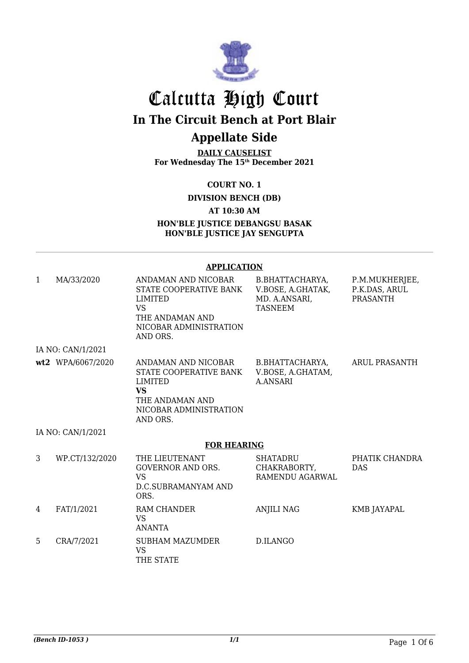

# Calcutta High Court **In The Circuit Bench at Port Blair**

### **Appellate Side**

**DAILY CAUSELIST For Wednesday The 15th December 2021**

**COURT NO. 1**

**DIVISION BENCH (DB)**

**AT 10:30 AM**

**HON'BLE JUSTICE DEBANGSU BASAK HON'BLE JUSTICE JAY SENGUPTA**

#### **APPLICATION**

| $\mathbf{1}$ | MA/33/2020         | ANDAMAN AND NICOBAR<br>STATE COOPERATIVE BANK<br><b>LIMITED</b><br><b>VS</b><br>THE ANDAMAN AND<br>NICOBAR ADMINISTRATION<br>AND ORS. | B.BHATTACHARYA,<br>V.BOSE, A.GHATAK,<br>MD. A.ANSARI,<br><b>TASNEEM</b> | P.M.MUKHERJEE,<br>P.K.DAS, ARUL<br><b>PRASANTH</b> |  |  |
|--------------|--------------------|---------------------------------------------------------------------------------------------------------------------------------------|-------------------------------------------------------------------------|----------------------------------------------------|--|--|
|              | IA NO: CAN/1/2021  |                                                                                                                                       |                                                                         |                                                    |  |  |
|              | wt2 WPA/6067/2020  | ANDAMAN AND NICOBAR<br>STATE COOPERATIVE BANK<br>LIMITED<br><b>VS</b><br>THE ANDAMAN AND<br>NICOBAR ADMINISTRATION<br>AND ORS.        | B.BHATTACHARYA,<br>V.BOSE, A.GHATAM,<br><b>A.ANSARI</b>                 | ARUL PRASANTH                                      |  |  |
|              | IA NO: CAN/1/2021  |                                                                                                                                       |                                                                         |                                                    |  |  |
|              | <b>FOR HEARING</b> |                                                                                                                                       |                                                                         |                                                    |  |  |
| 3            | WP.CT/132/2020     | THE LIEUTENANT<br><b>GOVERNOR AND ORS.</b><br><b>VS</b><br><b>D.C.SUBRAMANYAM AND</b><br>ORS.                                         | <b>SHATADRU</b><br>CHAKRABORTY,<br>RAMENDU AGARWAL                      | PHATIK CHANDRA<br><b>DAS</b>                       |  |  |
| 4            | FAT/1/2021         | <b>RAM CHANDER</b><br><b>VS</b><br><b>ANANTA</b>                                                                                      | <b>ANJILI NAG</b>                                                       | <b>KMB JAYAPAL</b>                                 |  |  |
| 5            | CRA/7/2021         | <b>SUBHAM MAZUMDER</b><br><b>VS</b><br>THE STATE                                                                                      | D.ILANGO                                                                |                                                    |  |  |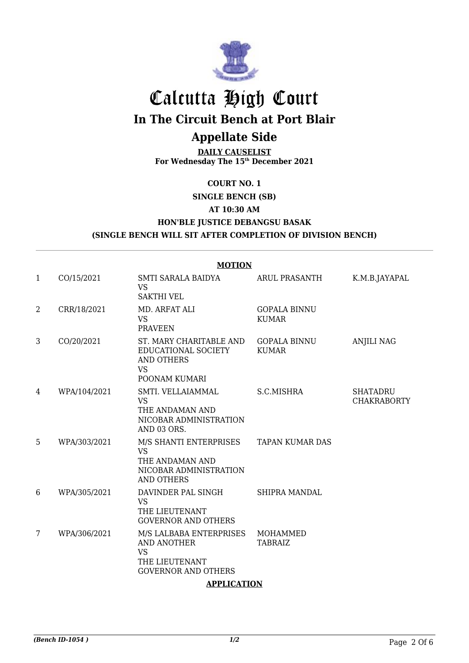

# Calcutta High Court **In The Circuit Bench at Port Blair**

### **Appellate Side**

**DAILY CAUSELIST For Wednesday The 15th December 2021**

#### **COURT NO. 1**

#### **SINGLE BENCH (SB)**

#### **AT 10:30 AM**

#### **HON'BLE JUSTICE DEBANGSU BASAK**

#### **(SINGLE BENCH WILL SIT AFTER COMPLETION OF DIVISION BENCH)**

|              | <b>MOTION</b> |                                                                                                     |                                     |                                       |  |  |
|--------------|---------------|-----------------------------------------------------------------------------------------------------|-------------------------------------|---------------------------------------|--|--|
| $\mathbf{1}$ | CO/15/2021    | SMTI SARALA BAIDYA<br><b>VS</b><br><b>SAKTHI VEL</b>                                                | <b>ARUL PRASANTH</b>                | K.M.B.JAYAPAL                         |  |  |
| 2            | CRR/18/2021   | MD. ARFAT ALI<br><b>VS</b><br><b>PRAVEEN</b>                                                        | <b>GOPALA BINNU</b><br><b>KUMAR</b> |                                       |  |  |
| 3            | CO/20/2021    | ST. MARY CHARITABLE AND<br>EDUCATIONAL SOCIETY<br>AND OTHERS<br><b>VS</b><br>POONAM KUMARI          | <b>GOPALA BINNU</b><br><b>KUMAR</b> | <b>ANJILI NAG</b>                     |  |  |
| 4            | WPA/104/2021  | SMTI. VELLAIAMMAL<br><b>VS</b><br>THE ANDAMAN AND<br>NICOBAR ADMINISTRATION<br>AND 03 ORS.          | S.C.MISHRA                          | <b>SHATADRU</b><br><b>CHAKRABORTY</b> |  |  |
| 5            | WPA/303/2021  | M/S SHANTI ENTERPRISES<br><b>VS</b><br>THE ANDAMAN AND<br>NICOBAR ADMINISTRATION<br>AND OTHERS      | <b>TAPAN KUMAR DAS</b>              |                                       |  |  |
| 6            | WPA/305/2021  | DAVINDER PAL SINGH<br><b>VS</b><br>THE LIEUTENANT<br><b>GOVERNOR AND OTHERS</b>                     | <b>SHIPRA MANDAL</b>                |                                       |  |  |
| 7            | WPA/306/2021  | M/S LALBABA ENTERPRISES<br>AND ANOTHER<br><b>VS</b><br>THE LIEUTENANT<br><b>GOVERNOR AND OTHERS</b> | MOHAMMED<br><b>TABRAIZ</b>          |                                       |  |  |

#### **APPLICATION**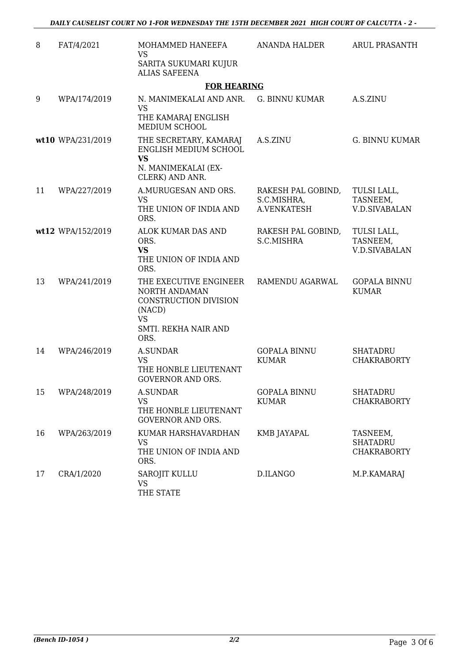| 8  | FAT/4/2021        | MOHAMMED HANEEFA<br><b>VS</b><br>SARITA SUKUMARI KUJUR                                                                  | ANANDA HALDER                       | ARUL PRASANTH                                     |
|----|-------------------|-------------------------------------------------------------------------------------------------------------------------|-------------------------------------|---------------------------------------------------|
|    |                   | <b>ALIAS SAFEENA</b>                                                                                                    |                                     |                                                   |
|    |                   | <b>FOR HEARING</b>                                                                                                      |                                     |                                                   |
| 9  | WPA/174/2019      | N. MANIMEKALAI AND ANR. G. BINNU KUMAR<br><b>VS</b>                                                                     |                                     | A.S.ZINU                                          |
|    |                   | THE KAMARAJ ENGLISH<br>MEDIUM SCHOOL                                                                                    |                                     |                                                   |
|    | wt10 WPA/231/2019 | THE SECRETARY, KAMARAJ<br>ENGLISH MEDIUM SCHOOL<br><b>VS</b>                                                            | A.S.ZINU                            | <b>G. BINNU KUMAR</b>                             |
|    |                   | N. MANIMEKALAI (EX-<br>CLERK) AND ANR.                                                                                  |                                     |                                                   |
| 11 | WPA/227/2019      | A.MURUGESAN AND ORS.<br><b>VS</b>                                                                                       | RAKESH PAL GOBIND,<br>S.C.MISHRA,   | TULSI LALL,<br>TASNEEM,                           |
|    |                   | THE UNION OF INDIA AND<br>ORS.                                                                                          | A.VENKATESH                         | <b>V.D.SIVABALAN</b>                              |
|    | wt12 WPA/152/2019 | ALOK KUMAR DAS AND<br>ORS.<br><b>VS</b><br>THE UNION OF INDIA AND<br>ORS.                                               | RAKESH PAL GOBIND,<br>S.C.MISHRA    | TULSI LALL,<br>TASNEEM,<br><b>V.D.SIVABALAN</b>   |
| 13 | WPA/241/2019      | THE EXECUTIVE ENGINEER<br>NORTH ANDAMAN<br>CONSTRUCTION DIVISION<br>(NACD)<br><b>VS</b><br>SMTI. REKHA NAIR AND<br>ORS. | RAMENDU AGARWAL                     | <b>GOPALA BINNU</b><br><b>KUMAR</b>               |
| 14 | WPA/246/2019      | <b>A.SUNDAR</b><br><b>VS</b><br>THE HONBLE LIEUTENANT<br><b>GOVERNOR AND ORS.</b>                                       | <b>GOPALA BINNU</b><br><b>KUMAR</b> | <b>SHATADRU</b><br><b>CHAKRABORTY</b>             |
| 15 | WPA/248/2019      | <b>A.SUNDAR</b><br><b>VS</b><br>THE HONBLE LIEUTENANT<br><b>GOVERNOR AND ORS.</b>                                       | <b>GOPALA BINNU</b><br><b>KUMAR</b> | <b>SHATADRU</b><br><b>CHAKRABORTY</b>             |
| 16 | WPA/263/2019      | KUMAR HARSHAVARDHAN<br><b>VS</b><br>THE UNION OF INDIA AND<br>ORS.                                                      | KMB JAYAPAL                         | TASNEEM,<br><b>SHATADRU</b><br><b>CHAKRABORTY</b> |
| 17 | CRA/1/2020        | SAROJIT KULLU<br><b>VS</b><br>THE STATE                                                                                 | D.ILANGO                            | M.P.KAMARAJ                                       |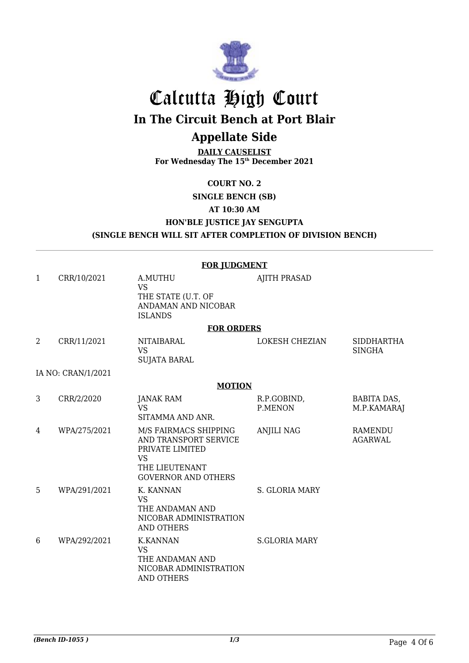

# Calcutta High Court **In The Circuit Bench at Port Blair**

## **Appellate Side**

**DAILY CAUSELIST For Wednesday The 15th December 2021**

#### **COURT NO. 2**

### **SINGLE BENCH (SB)**

**AT 10:30 AM**

#### **HON'BLE JUSTICE JAY SENGUPTA (SINGLE BENCH WILL SIT AFTER COMPLETION OF DIVISION BENCH)**

#### **FOR JUDGMENT**

| $\mathbf{1}$ | CRR/10/2021        | A.MUTHU<br><b>VS</b><br>THE STATE (U.T. OF<br>ANDAMAN AND NICOBAR<br><b>ISLANDS</b>                                            | <b>AJITH PRASAD</b>    |                                    |
|--------------|--------------------|--------------------------------------------------------------------------------------------------------------------------------|------------------------|------------------------------------|
|              |                    | <b>FOR ORDERS</b>                                                                                                              |                        |                                    |
| 2            | CRR/11/2021        | NITAIBARAL<br><b>VS</b><br><b>SUJATA BARAL</b>                                                                                 | <b>LOKESH CHEZIAN</b>  | <b>SIDDHARTHA</b><br><b>SINGHA</b> |
|              | IA NO: CRAN/1/2021 |                                                                                                                                |                        |                                    |
|              |                    | <b>MOTION</b>                                                                                                                  |                        |                                    |
| 3            | CRR/2/2020         | <b>JANAK RAM</b><br><b>VS</b><br>SITAMMA AND ANR.                                                                              | R.P.GOBIND,<br>P.MENON | BABITA DAS,<br>M.P.KAMARAJ         |
| 4            | WPA/275/2021       | M/S FAIRMACS SHIPPING<br>AND TRANSPORT SERVICE<br>PRIVATE LIMITED<br><b>VS</b><br>THE LIEUTENANT<br><b>GOVERNOR AND OTHERS</b> | <b>ANJILI NAG</b>      | <b>RAMENDU</b><br><b>AGARWAL</b>   |
| 5            | WPA/291/2021       | K. KANNAN<br><b>VS</b><br>THE ANDAMAN AND<br>NICOBAR ADMINISTRATION<br><b>AND OTHERS</b>                                       | <b>S. GLORIA MARY</b>  |                                    |
| 6            | WPA/292/2021       | <b>K.KANNAN</b><br><b>VS</b><br>THE ANDAMAN AND<br>NICOBAR ADMINISTRATION<br><b>AND OTHERS</b>                                 | <b>S.GLORIA MARY</b>   |                                    |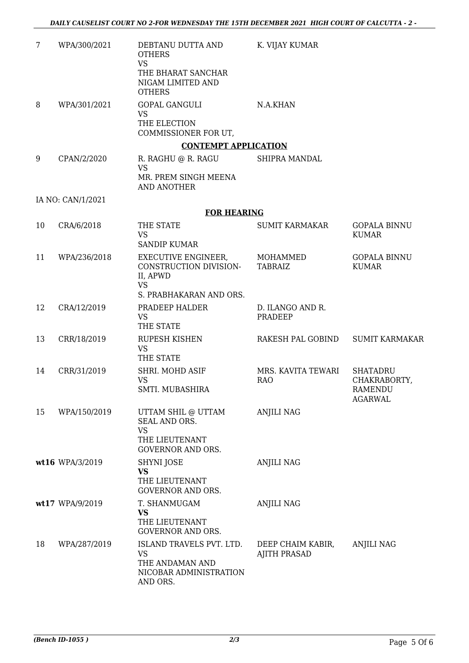| 7  | WPA/300/2021      | DEBTANU DUTTA AND<br><b>OTHERS</b><br><b>VS</b><br>THE BHARAT SANCHAR<br>NIGAM LIMITED AND<br><b>OTHERS</b> | K. VIJAY KUMAR                           |                                                                     |
|----|-------------------|-------------------------------------------------------------------------------------------------------------|------------------------------------------|---------------------------------------------------------------------|
| 8  | WPA/301/2021      | <b>GOPAL GANGULI</b><br><b>VS</b><br>THE ELECTION<br>COMMISSIONER FOR UT,                                   | N.A.KHAN                                 |                                                                     |
|    |                   | <b>CONTEMPT APPLICATION</b>                                                                                 |                                          |                                                                     |
| 9  | CPAN/2/2020       | R. RAGHU @ R. RAGU<br><b>VS</b><br>MR. PREM SINGH MEENA                                                     | SHIPRA MANDAL                            |                                                                     |
|    |                   | AND ANOTHER                                                                                                 |                                          |                                                                     |
|    | IA NO: CAN/1/2021 |                                                                                                             |                                          |                                                                     |
|    |                   | <b>FOR HEARING</b>                                                                                          |                                          |                                                                     |
| 10 | CRA/6/2018        | THE STATE<br><b>VS</b><br><b>SANDIP KUMAR</b>                                                               | <b>SUMIT KARMAKAR</b>                    | <b>GOPALA BINNU</b><br><b>KUMAR</b>                                 |
| 11 | WPA/236/2018      | EXECUTIVE ENGINEER,<br>CONSTRUCTION DIVISION-<br>II, APWD<br><b>VS</b>                                      | MOHAMMED<br><b>TABRAIZ</b>               | <b>GOPALA BINNU</b><br><b>KUMAR</b>                                 |
|    |                   | S. PRABHAKARAN AND ORS.                                                                                     |                                          |                                                                     |
| 12 | CRA/12/2019       | PRADEEP HALDER<br><b>VS</b><br>THE STATE                                                                    | D. ILANGO AND R.<br>PRADEEP              |                                                                     |
| 13 | CRR/18/2019       | <b>RUPESH KISHEN</b><br><b>VS</b><br>THE STATE                                                              | RAKESH PAL GOBIND                        | <b>SUMIT KARMAKAR</b>                                               |
| 14 | CRR/31/2019       | SHRI. MOHD ASIF<br><b>VS</b><br>SMTI. MUBASHIRA                                                             | MRS. KAVITA TEWARI<br><b>RAO</b>         | <b>SHATADRU</b><br>CHAKRABORTY,<br><b>RAMENDU</b><br><b>AGARWAL</b> |
| 15 | WPA/150/2019      | UTTAM SHIL @ UTTAM<br>SEAL AND ORS.<br><b>VS</b><br>THE LIEUTENANT<br><b>GOVERNOR AND ORS.</b>              | <b>ANJILI NAG</b>                        |                                                                     |
|    | wt16 WPA/3/2019   | SHYNI JOSE<br><b>VS</b>                                                                                     | <b>ANJILI NAG</b>                        |                                                                     |
|    |                   | THE LIEUTENANT<br><b>GOVERNOR AND ORS.</b>                                                                  |                                          |                                                                     |
|    | wt17 WPA/9/2019   | T. SHANMUGAM<br>VS<br>THE LIEUTENANT<br><b>GOVERNOR AND ORS.</b>                                            | <b>ANJILI NAG</b>                        |                                                                     |
| 18 | WPA/287/2019      | ISLAND TRAVELS PVT. LTD.<br><b>VS</b><br>THE ANDAMAN AND<br>NICOBAR ADMINISTRATION<br>AND ORS.              | DEEP CHAIM KABIR,<br><b>AJITH PRASAD</b> | <b>ANJILI NAG</b>                                                   |